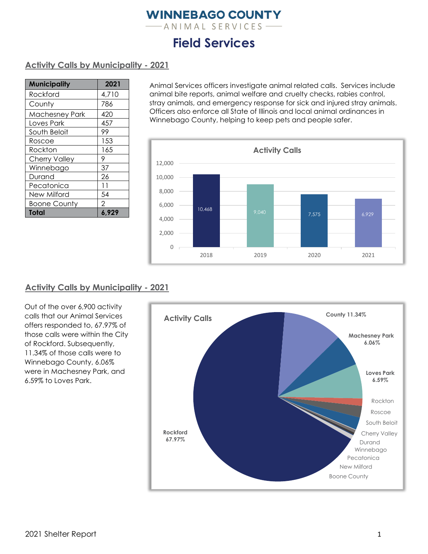ANIMAL SERVICES -

# **Field Services**

#### **Activity Calls by Municipality - 2021**

| <b>Municipality</b> | 2021  |
|---------------------|-------|
| Rockford            | 4,710 |
| County              | 786   |
| Machesney Park      | 420   |
| Loves Park          | 457   |
| South Beloit        | 99    |
| Roscoe              | 153   |
| Rockton             | 165   |
| Cherry Valley       | 9     |
| Winnebago           | 37    |
| Durand              | 26    |
| Pecatonica          |       |
| New Milford         | 54    |
| <b>Boone County</b> | 2     |
| Total               | 6.929 |

Animal Services officers investigate animal related calls. Services include animal bite reports, animal welfare and cruelty checks, rabies control, stray animals, and emergency response for sick and injured stray animals. Officers also enforce all State of Illinois and local animal ordinances in Winnebago County, helping to keep pets and people safer.



#### **Activity Calls by Municipality - 2021**

Out of the over 6,900 activity calls that our Animal Services offers responded to, 67.97% of those calls were within the City of Rockford. Subsequently, 11.34% of those calls were to Winnebago County, 6.06% were in Machesney Park, and 6.59% to Loves Park.

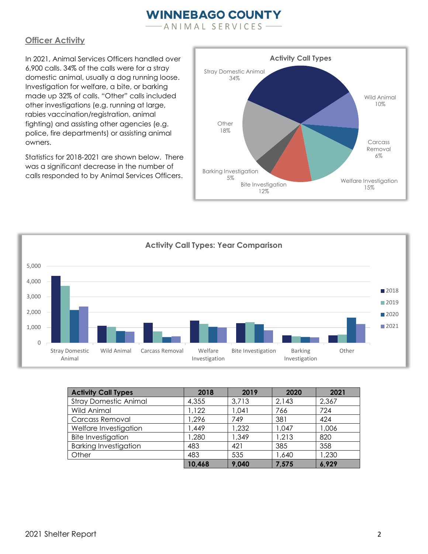ANIMAL SERVICES

#### **Officer Activity**

In 2021, Animal Services Officers handled over 6,900 calls. 34% of the calls were for a stray domestic animal, usually a dog running loose. Investigation for welfare, a bite, or barking made up 32% of calls. "Other" calls included other investigations (e.g. running at large, rabies vaccination/registration, animal fighting) and assisting other agencies (e.g. police, fire departments) or assisting animal owners.

Statistics for 2018-2021 are shown below. There was a significant decrease in the number of calls responded to by Animal Services Officers.





| <b>Activity Call Types</b>   | 2018   | 2019  | 2020  | 2021  |
|------------------------------|--------|-------|-------|-------|
| <b>Stray Domestic Animal</b> | 4,355  | 3,713 | 2,143 | 2,367 |
| Wild Animal                  | 1,122  | 1,041 | 766   | 724   |
| <b>Carcass Removal</b>       | 1,296  | 749   | 381   | 424   |
| Welfare Investigation        | 1,449  | 1,232 | 1,047 | 1,006 |
| <b>Bite Investigation</b>    | 1,280  | 1,349 | 1,213 | 820   |
| <b>Barking Investigation</b> | 483    | 421   | 385   | 358   |
| Other                        | 483    | 535   | 1,640 | 1,230 |
|                              | 10,468 | 9,040 | 7,575 | 6,929 |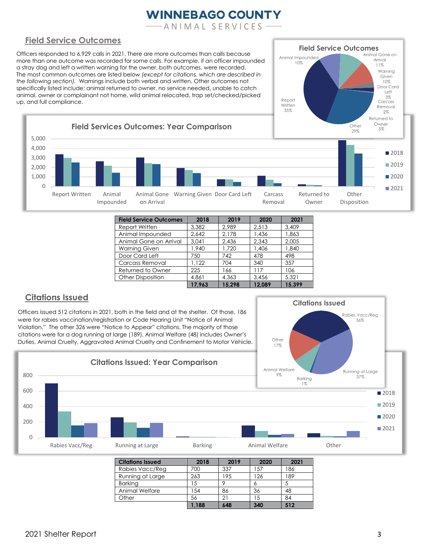ANIMAL SERVICES

Animal Impounded 10%

**Field Service Outcomes**

Animal Gone on Arrival 11% Warning Given 10% Door Card Left 3%

#### **Field Service Outcomes**

Officers responded to 6,929 calls in 2021. There are more outcomes than calls because more than one outcome was recorded for some calls. For example, if an officer impounded a stray dog and left a written warning for the owner, both outcomes, were recorded. The most common outcomes are listed below *(except for citations, which are described in the following section).* Warnings include both verbal and written. Other outcomes not specifically listed include: animal returned to owner, no service needed, unable to catch animal, owner or complainant not home, wild animal relocated, trap set/checked/picked up, and full compliance.



| <b>Field Service Outcomes</b> | 2018   | 2019   | 2020   | 2021   |
|-------------------------------|--------|--------|--------|--------|
| Report Written                | 3.382  | 2.989  | 2.513  | 3.409  |
| Animal Impounded              | 2.642  | 2.178  | 1.436  | 1.863  |
| Animal Gone on Arrival        | 3.041  | 2.436  | 2.343  | 2,005  |
| <b>Warning Given</b>          | 1.940  | 1.720  | 1.406  | 1,840  |
| Door Card Left                | 750    | 742    | 478    | 498    |
| <b>Carcass Removal</b>        | 1.122  | 704    | 340    | 357    |
| Returned to Owner             | 225    | 166    | 117    | 106    |
| <b>Other Disposition</b>      | 4.861  | 4.363  | 3.456  | 5.321  |
|                               | 17.963 | 15.298 | 12.089 | 15.399 |

#### **Citations Issued**

0

200

400

600

800

Officers issued 512 citations in 2021, both in the field and at the shelter. Of those, 186 were for rabies vaccination/registration or Code Hearing Unit "Notice of Animal Violation." The other 326 were "Notice to Appear" citations. The majority of those citations were for a dog running at large (189). Animal Welfare (48) includes Owner's Duties, Animal Cruelty, Aggravated Animal Cruelty and Confinement to Motor Vehicle.

**Citations Issued: Year Comparison**



| <b>Citations Issued</b> | 2018  | 2019 | 2020 | 2021 |
|-------------------------|-------|------|------|------|
| Rabies Vacc/Reg         | 700   | 337  | 157  | 186  |
| Running at Large        | 263   | 195  | 126  | 89   |
| <b>Barking</b>          | 15    |      | o    |      |
| Animal Welfare          | 154   | 86   | 36   | 48   |
| Other                   | 56    |      |      | 84   |
|                         | 1.188 | 648  | 340  | 512  |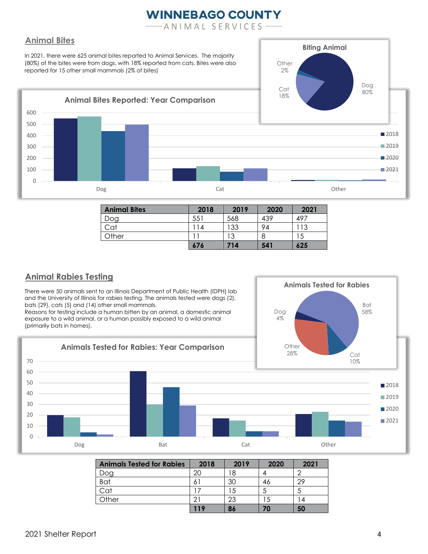ANIMAL SERVICES

Other

**Biting Animal**

#### **Animal Bites**

In 2021, there were 625 animal bites reported to Animal Services. The majority (80%) of the bites were from dogs, with 18% reported from cats. Bites were also reported for 15 other small mammals (2% of bites)



| <b>Animal Bites</b> | 2018 | 2019 | 2020 | 2021 |
|---------------------|------|------|------|------|
| Dog                 | 551  | 568  | 439  | 497  |
| Cat                 | 14   | 133  | 94   | 13   |
| Other               |      | 3 ا  | 8    |      |
|                     | 676  | 714  | 541  | 625  |

#### **Animal Rabies Testing**

70

There were 50 animals sent to an Illinois Department of Public Health (IDPH) lab and the University of Illinois for rabies testing. The animals tested were dogs (2), bats (29), cats (5) and (14) other small mammals.

Reasons for testing include a human bitten by an animal, a domestic animal exposure to a wild animal, or a human possibly exposed to a wild animal (primarily bats in homes).







| <b>Animals Tested for Rabies</b> | 2018 | 2019 | 2020 | 2021 |
|----------------------------------|------|------|------|------|
| Dog                              | 20   | '8   |      |      |
| Bat                              | 6    |      | 46   |      |
| Cat                              |      | C    |      |      |
| Other                            |      |      |      |      |
|                                  | 119  | 86   |      | 50   |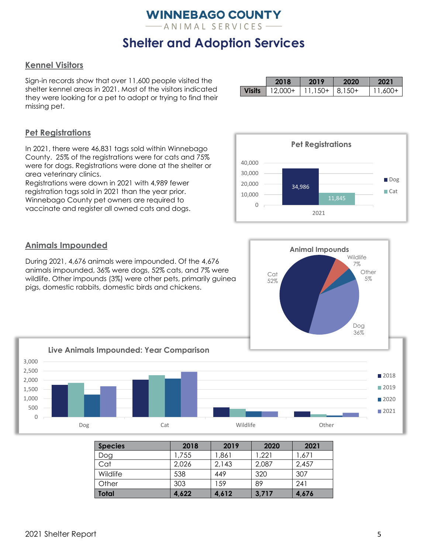2021 Shelter Report 5

#### **Kennel Visitors**

Sign-in records show that over 11,600 people visited the shelter kennel areas in 2021. Most of the visitors indicated they were looking for a pet to adopt or trying to find their missing pet.

#### **Pet Registrations**

In 2021, there were 46,831 tags sold within Winnebago County. 25% of the registrations were for cats and 75% were for dogs. Registrations were done at the shelter or area veterinary clinics.

Registrations were down in 2021 with 4,989 fewer registration tags sold in 2021 than the year prior. Winnebago County pet owners are required to vaccinate and register all owned cats and dogs.

#### **Animals Impounded**

During 2021, 4,676 animals were impounded. Of the 4,676 animals impounded, 36% were dogs, 52% cats, and 7% were wildlife. Other impounds (3%) were other pets, primarily guinea pigs, domestic rabbits, domestic birds and chickens.



Other 1303 159 89 241 **Total 4,622 4,612 3,717 4,676**

|                | Cat |       | Wildlife |       | Other  |  |  |
|----------------|-----|-------|----------|-------|--------|--|--|
| <b>Species</b> |     | 2018  | 2019     | 2020  | 2021   |  |  |
| Dog            |     | 1,755 | ,861     | ,221  | 571, ا |  |  |
| Cat            |     | 2,026 | 2,143    | 2,087 | 2,457  |  |  |
| Wildlife       |     | 538   | 449      | 320   | 307    |  |  |



**Animal Impounds**

**Cat** 52%

> Dog 36%

Wildlife 7%

> Other 5%

|               | 2018       | 2019      | 2020     | 2021    |
|---------------|------------|-----------|----------|---------|
| <b>Visits</b> | $12.000 +$ | $11,150+$ | $8,150+$ | 11,600+ |

### **WINNEBAGO COUNTY**

ANIMAL SERVICES

# **Shelter and Adoption Services**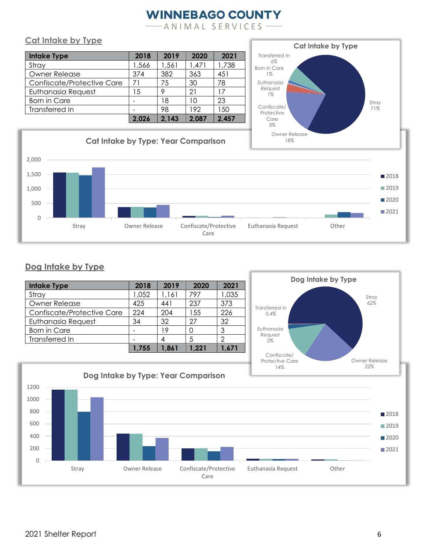ANIMAL SERVICES

#### **Cat Intake by Type**

| <b>Intake Type</b>         | 2018  | 2019  | 2020  | 2021  |
|----------------------------|-------|-------|-------|-------|
| Stray                      | 1,566 | 1,561 | 1,471 | 1,738 |
| <b>Owner Release</b>       | 374   | 382   | 363   | 451   |
| Confiscate/Protective Care | 71    | 75    | 30    | 78    |
| Euthanasia Request         | 15    | O     | 21    | 17    |
| <b>Born in Care</b>        |       | 18    | 10    | 23    |
| Transferred In             |       | 98    | 192   | 150   |
|                            | 2.026 | 2,143 | 2,087 | 2,457 |



#### 0 500 1,000 1,500 2,000 Stray Owner Release Confiscate/Protective Care Euthanasia Request **Canada Contact Contract Cat Intake by Type: Year Comparison** ■2018 ■2019 ■2020 ■2021

#### **Dog Intake by Type**

| <b>Intake Type</b>         | 2018  | 2019  | 2020  | 2021  |
|----------------------------|-------|-------|-------|-------|
| Stray                      | 1,052 | 1,161 | 797   | 1,035 |
| <b>Owner Release</b>       | 425   | 441   | 237   | 373   |
| Confiscate/Protective Care | 224   | 204   | 155   | 226   |
| <b>Euthanasia Request</b>  | 34    | 32    | 27    | 32    |
| <b>Born in Care</b>        |       | 19    |       | 3     |
| Transferred In             |       |       | .5    | 2     |
|                            | 1,755 | 1.861 | 1.221 | 1.671 |



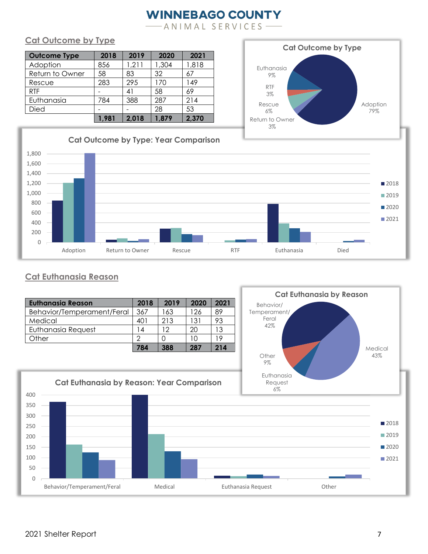ANIMAL SERVICES

#### **Cat Outcome by Type**

| <b>Outcome Type</b> | 2018  | 2019  | 2020  | 2021  |
|---------------------|-------|-------|-------|-------|
| Adoption            | 856   | 1,211 | 1,304 | 1,818 |
| Return to Owner     | 58    | 83    | 32    | 67    |
| Rescue              | 283   | 295   | 170   | 149   |
| <b>RTF</b>          |       | 41    | 58    | 69    |
| Euthanasia          | 784   | 388   | 287   | 214   |
| Died                |       |       | 28    | 53    |
|                     | 1,981 | 2,018 | 1,879 | 2,370 |



#### ,800 <del>- Temperature and the second second second second second second second second second second second second second second second second second second second second second second second second second second second secon</del>  $1,600$  —  $1,400$   $\qquad \qquad$ Feral 1,200  $1,000 -$ 0 200 400 600 800 1,800 Adoption Return to Owner Rescue RTF Euthanasia Died **Cat Outcome by Type: Year Comparison** ■2018 ■2019 ■2020 ■2021

#### **Cat Euthanasia Reason**

|                   |                                           |                |          |      |      | <b>Cat Euthanasia by Reason</b> |  |
|-------------------|-------------------------------------------|----------------|----------|------|------|---------------------------------|--|
|                   | <b>Euthanasia Reason</b>                  | 2018           | 2019     | 2020 | 2021 | Behavior/                       |  |
|                   | Behavior/Temperament/Feral                | 367            | 163      | 126  | 89   | Temperament/                    |  |
| Medical           |                                           | 401            | 213      | 131  | 93   | Feral<br>42%                    |  |
|                   | Euthanasia Request                        | 14             | 12       | 20   | 13   |                                 |  |
| Other             |                                           | $\overline{2}$ | $\Omega$ | 10   | 19   |                                 |  |
|                   |                                           | 784            | 388      | 287  | 214  | Medical                         |  |
|                   |                                           |                |          |      |      | 43%<br>Other<br>9%              |  |
| 400<br>350<br>300 | Cat Euthanasia by Reason: Year Comparison |                |          |      |      | Euthanasia<br>Request<br>6%     |  |
| 250               |                                           |                |          |      |      | ■2018                           |  |
| 200               |                                           |                |          |      |      | $\blacksquare$ 2019             |  |
| 150               |                                           |                |          |      |      | ■2020                           |  |
| 100               |                                           |                |          |      |      | $\blacksquare$ 2021             |  |
|                   |                                           |                |          |      |      |                                 |  |
| 50                |                                           |                |          |      |      |                                 |  |
| $\mathbf 0$       | Behavior/Temperament/Feral                |                | Medical  |      |      | Euthanasia Request<br>Other     |  |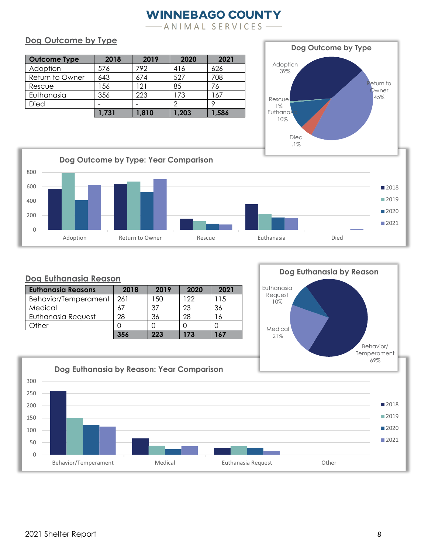ANIMAL SERVICES

### **Dog Outcome by Type**

| <b>Outcome Type</b> | 2018  | 2019  | 2020  | 2021  |
|---------------------|-------|-------|-------|-------|
| Adoption            | 576   | 792   | 416   | 626   |
| Return to Owner     | 643   | 674   | 527   | 708   |
| Rescue              | 156   | 121   | 85    | 76    |
| Euthanasia          | 356   | 223   | 173   | 167   |
| Died                |       |       |       |       |
|                     | 1,731 | 1,810 | 1,203 | 1,586 |





Behavior/Temperament Medical Euthanasia Request Other

#### **Dog Euthanasia Reason**

| <b>Euthanasia Reasons</b> | 2018 | 2019 | 2020 | 2021 |
|---------------------------|------|------|------|------|
| Behavior/Temperament      | 261  | -50  | 122  | 15   |
| Medical                   | 67   | -37  | 23   | 36   |
| <b>Euthanasia Request</b> | 28   | 36   | 28   | 16   |
| Other                     |      |      |      |      |
|                           | 356  | 223  | 173  | 167  |



### **Dog Euthanasia by Reason: Year Comparison**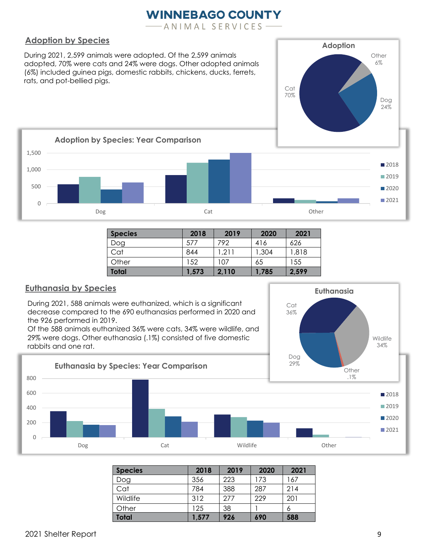ANIMAL SERVICES

#### **Adoption by Species**

During 2021, 2,599 animals were adopted. Of the 2,599 animals adopted, 70% were cats and 24% were dogs. Other adopted animals (6%) included guinea pigs, domestic rabbits, chickens, ducks, ferrets, rats, and pot-bellied pigs.



**Cat** 36% **Euthanasia**

1,500 **Adoption by Species: Year Comparison**



Dog Cat Catch Captain Catch Captain Captain Captain Communication of the Communication of the Communication of the Communication of the Communication of the Communication of the Communication of the Communication of the Co

#### **Euthanasia by Species**

During 2021, 588 animals were euthanized, which is a significant decrease compared to the 690 euthanasias performed in 2020 and the 926 performed in 2019.

Of the 588 animals euthanized 36% were cats, 34% were wildlife, and 29% were dogs. Other euthanasia (.1%) consisted of five domestic rabbits and one rat.



| <b>Species</b> | 2018  | 2019 | 2020 | 2021 |
|----------------|-------|------|------|------|
| Dog            | 356   | 223  | 173  | 167  |
| Cat            | 784   | 388  | 287  | 214  |
| Wildlife       | 312   | 277  | 229  | 201  |
| Other          | 125   | 38   |      | 6    |
| <b>Total</b>   | 1,577 | 926  | 690  | 588  |

0

200

400

600

800

0

500

1,000